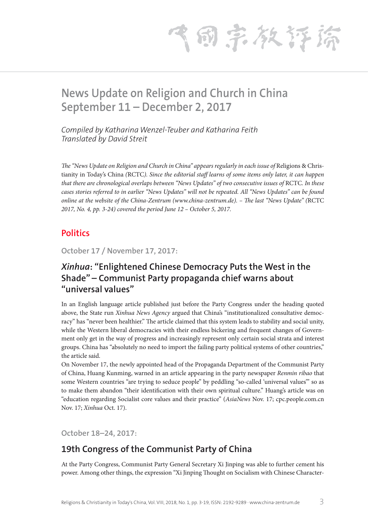气雨宗教存裕

# **News Update on Religion and Church in China September 11 – December 2, 2017**

*Compiled by Katharina Wenzel-Teuber and Katharina Feith Translated by David Streit*

*The "News Update on Religion and Church in China" appears regularly in each issue of Religions & Chris*tianity in Today's China *(*RCTC*). Since the editorial staff learns of some items only later, it can happen that there are chronological overlaps between "News Updates" of two consecutive issues of RCTC. In these cases stories referred to in earlier "News Updates" will not be repeated. All "News Updates" can be found online at the website of the China-Zentrum (www.china-zentrum.de). – The last "News Update" (*RCTC *2017, No. 4, pp. 3-24) covered the period June 12 – October 5, 2017.*

### **Politics**

**October 17 / November 17, 2017:**

## *Xinhua***: "Enlightened Chinese Democracy Puts the West in the Shade" – Communist Party propaganda chief warns about "universal values"**

In an English language article published just before the Party Congress under the heading quoted above, the State run *Xinhua News Agency* argued that China's "institutionalized consultative democracy" has "never been healthier." The article claimed that this system leads to stability and social unity, while the Western liberal democracies with their endless bickering and frequent changes of Government only get in the way of progress and increasingly represent only certain social strata and interest groups. China has "absolutely no need to import the failing party political systems of other countries," the article said.

On November 17, the newly appointed head of the Propaganda Department of the Communist Party of China, Huang Kunming, warned in an article appearing in the party newspaper *Renmin ribao* that some Western countries "are trying to seduce people" by peddling "so-called 'universal values'" so as to make them abandon "their identification with their own spiritual culture." Huang's article was on "education regarding Socialist core values and their practice" (*AsiaNews* Nov. 17; cpc.people.com.cn Nov. 17; *Xinhua* Oct. 17).

**October 18–24, 2017:**

## **19th Congress of the Communist Party of China**

At the Party Congress, Communist Party General Secretary Xi Jinping was able to further cement his power. Among other things, the expression "Xi Jinping Thought on Socialism with Chinese Character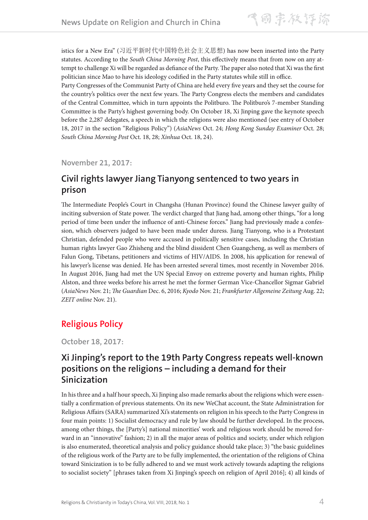istics for a New Era" (习近平新时代中国特色社会主义思想) has now been inserted into the Party statutes. According to the *South China Morning Post*, this effectively means that from now on any attempt to challenge Xi will be regarded as defiance of the Party. The paper also noted that Xi was the first politician since Mao to have his ideology codified in the Party statutes while still in office.

Party Congresses of the Communist Party of China are held every five years and they set the course for the country's politics over the next few years. The Party Congress elects the members and candidates of the Central Committee, which in turn appoints the Politburo. The Politburo's 7-member Standing Committee is the Party's highest governing body. On October 18, Xi Jinping gave the keynote speech before the 2,287 delegates, a speech in which the religions were also mentioned (see entry of October 18, 2017 in the section "Religious Policy") (*AsiaNews* Oct. 24; *Hong Kong Sunday Examiner* Oct. 28; *South China Morning Post* Oct. 18, 28; *Xinhua* Oct. 18, 24).

**November 21, 2017:**

## **Civil rights lawyer Jiang Tianyong sentenced to two years in prison**

The Intermediate People's Court in Changsha (Hunan Province) found the Chinese lawyer guilty of inciting subversion of State power. The verdict charged that Jiang had, among other things, "for a long period of time been under the influence of anti-Chinese forces." Jiang had previously made a confession, which observers judged to have been made under duress. Jiang Tianyong, who is a Protestant Christian, defended people who were accused in politically sensitive cases, including the Christian human rights lawyer Gao Zhisheng and the blind dissident Chen Guangcheng, as well as members of Falun Gong, Tibetans, petitioners and victims of HIV/AIDS. In 2008, his application for renewal of his lawyer's license was denied. He has been arrested several times, most recently in November 2016. In August 2016, Jiang had met the UN Special Envoy on extreme poverty and human rights, Philip Alston, and three weeks before his arrest he met the former German Vice-Chancellor Sigmar Gabriel (*AsiaNews* Nov. 21; *The Guardian* Dec. 6, 2016; *Kyodo* Nov. 21; *Frankfurter Allgemeine Zeitung* Aug. 22; *ZEIT online* Nov. 21).

## **Religious Policy**

**October 18, 2017:**

## **Xi Jinping's report to the 19th Party Congress repeats well-known positions on the religions – including a demand for their Sinicization**

In his three and a half hour speech, Xi Jinping also made remarks about the religions which were essentially a confirmation of previous statements. On its new WeChat account, the State Administration for Religious Affairs (SARA) summarized Xi's statements on religion in his speech to the Party Congress in four main points: 1) Socialist democracy and rule by law should be further developed. In the process, among other things, the [Party's] national minorities' work and religious work should be moved forward in an "innovative" fashion; 2) in all the major areas of politics and society, under which religion is also enumerated, theoretical analysis and policy guidance should take place; 3) "the basic guidelines of the religious work of the Party are to be fully implemented, the orientation of the religions of China toward Sinicization is to be fully adhered to and we must work actively towards adapting the religions to socialist society" [phrases taken from Xi Jinping's speech on religion of April 2016]; 4) all kinds of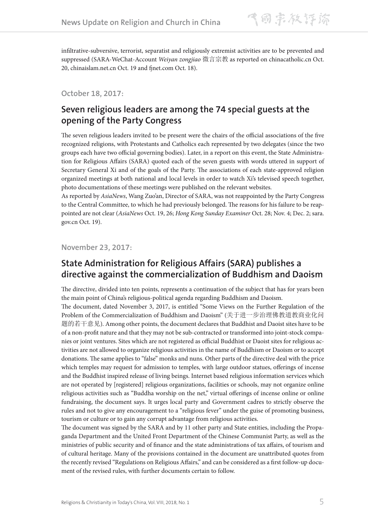infiltrative-subversive, terrorist, separatist and religiously extremist activities are to be prevented and suppressed (SARA-WeChat-Account *Weiyan zongjiao* 微言宗教 as reported on chinacatholic.cn Oct. 20, chinaislam.net.cn Oct. 19 and fjnet.com Oct. 18).

#### **October 18, 2017:**

## **Seven religious leaders are among the 74 special guests at the opening of the Party Congress**

The seven religious leaders invited to be present were the chairs of the official associations of the five recognized religions, with Protestants and Catholics each represented by two delegates (since the two groups each have two official governing bodies). Later, in a report on this event, the State Administration for Religious Affairs (SARA) quoted each of the seven guests with words uttered in support of Secretary General Xi and of the goals of the Party. The associations of each state-approved religion organized meetings at both national and local levels in order to watch Xi's televised speech together, photo documentations of these meetings were published on the relevant websites.

As reported by *AsiaNews*, Wang Zuo'an, Director of SARA, was not reappointed by the Party Congress to the Central Committee, to which he had previously belonged. The reasons for his failure to be reappointed are not clear (*AsiaNews* Oct. 19, 26; *Hong Kong Sunday Examiner* Oct. 28; Nov. 4; Dec. 2; sara. gov.cn Oct. 19).

**November 23, 2017:**

### **State Administration for Religious Affairs (SARA) publishes a directive against the commercialization of Buddhism and Daoism**

The directive, divided into ten points, represents a continuation of the subject that has for years been the main point of China's religious-political agenda regarding Buddhism and Daoism.

The document, dated November 3, 2017, is entitled "Some Views on the Further Regulation of the Problem of the Commercialization of Buddhism and Daoism" (关于进一步治理佛教道教商业化问 题的若干意见). Among other points, the document declares that Buddhist and Daoist sites have to be of a non-profit nature and that they may not be sub-contracted or transformed into joint-stock companies or joint ventures. Sites which are not registered as official Buddhist or Daoist sites for religious activities are not allowed to organize religious activities in the name of Buddhism or Daoism or to accept donations. The same applies to "false" monks and nuns. Other parts of the directive deal with the price which temples may request for admission to temples, with large outdoor statues, offerings of incense and the Buddhist inspired release of living beings. Internet based religious information services which are not operated by [registered] religious organizations, facilities or schools, may not organize online religious activities such as "Buddha worship on the net," virtual offerings of incense online or online fundraising, the document says. It urges local party and Government cadres to strictly observe the rules and not to give any encouragement to a "religious fever" under the guise of promoting business, tourism or culture or to gain any corrupt advantage from religious activities.

The document was signed by the SARA and by 11 other party and State entities, including the Propaganda Department and the United Front Department of the Chinese Communist Party, as well as the ministries of public security and of finance and the state administrations of tax affairs, of tourism and of cultural heritage. Many of the provisions contained in the document are unattributed quotes from the recently revised "Regulations on Religious Affairs," and can be considered as a first follow-up document of the revised rules, with further documents certain to follow.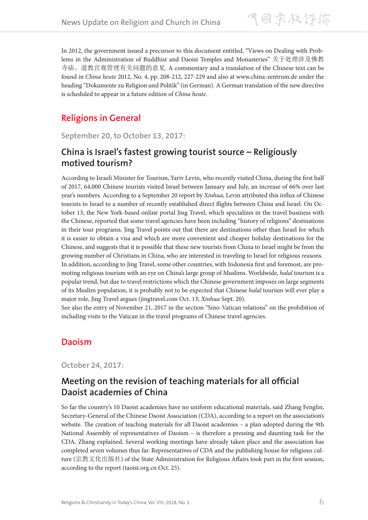飞雨宗教评谛

In 2012, the government issued a precursor to this document entitled, "Views on Dealing with Problems in the Administration of Buddhist and Daoist Temples and Monasteries" 关于处理涉及佛教 寺庙、道教宫观管理有关问题的意见. A commentary and a translation of the Chinese text can be found in *China heute* 2012, No. 4, pp. 208-212, 227-229 and also at www.china-zentrum.de under the heading "Dokumente zu Religion und Politik" (in German). A German translation of the new directive is scheduled to appear in a future edition of *China heute*.

## **Religions in General**

**September 20, to October 13, 2017:**

## **China is Israel's fastest growing tourist source – Religiously motived tourism?**

According to Israeli Minister for Tourism, Yariv Levin, who recently visited China, during the first half of 2017, 64,000 Chinese tourists visited Israel between January and July, an increase of 66% over last year's numbers. According to a September 20 report by *Xinhua*, Levin attributed this influx of Chinese tourists to Israel to a number of recently established direct flights between China and Israel. On October 13, the New York-based online portal Jing Travel, which specializes in the travel business with the Chinese, reported that some travel agencies have been including "history of religions" destinations in their tour programs. Jing Travel points out that there are destinations other than Israel for which it is easier to obtain a visa and which are more convenient and cheaper holiday destinations for the Chinese, and suggests that it is possible that these new tourists from China to Israel might be from the growing number of Christians in China, who are interested in traveling to Israel for religious reasons. In addition, according to Jing Travel, some other countries, with Indonesia first and foremost, are promoting religious tourism with an eye on China's large group of Muslims. Worldwide, *halal* tourism is a popular trend, but due to travel restrictions which the Chinese government imposes on large segments of its Muslim population, it is probably not to be expected that Chinese *halal* tourism will ever play a major role, Jing Travel argues (jingtravel.com Oct. 13; *Xinhua* Sept. 20).

See also the entry of November 21, 2017 in the section "Sino-Vatican relations" on the prohibition of including visits to the Vatican in the travel programs of Chinese travel agencies.

### **Daoism**

**October 24, 2017:**

## **Meeting on the revision of teaching materials for all official Daoist academies of China**

So far the country's 10 Daoist academies have no uniform educational materials, said Zhang Fenglin, Secretary-General of the Chinese Daoist Association (CDA), according to a report on the association's website. The creation of teaching materials for all Daoist academies – a plan adopted during the 9th National Assembly of representatives of Daoism – is therefore a pressing and daunting task for the CDA, Zhang explained. Several working meetings have already taken place and the association has completed seven volumes thus far. Representatives of CDA and the publishing house for religious culture (宗教文化出版社) of the State Administration for Religious Affairs took part in the first session, according to the report (taoist.org.cn Oct. 25).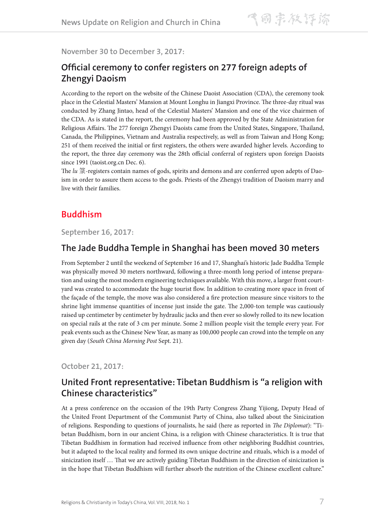**November 30 to December 3, 2017:**

### **Official ceremony to confer registers on 277 foreign adepts of Zhengyi Daoism**

According to the report on the website of the Chinese Daoist Association (CDA), the ceremony took place in the Celestial Masters' Mansion at Mount Longhu in Jiangxi Province. The three-day ritual was conducted by Zhang Jintao, head of the Celestial Masters' Mansion and one of the vice chairmen of the CDA. As is stated in the report, the ceremony had been approved by the State Administration for Religious Affairs. The 277 foreign Zhengyi Daoists came from the United States, Singapore, Thailand, Canada, the Philippines, Vietnam and Australia respectively, as well as from Taiwan and Hong Kong; 251 of them received the initial or first registers, the others were awarded higher levels. According to the report, the three day ceremony was the 28th official conferral of registers upon foreign Daoists since 1991 (taoist.org.cn Dec. 6).

The *lu* 箓-registers contain names of gods, spirits and demons and are conferred upon adepts of Daoism in order to assure them access to the gods. Priests of the Zhengyi tradition of Daoism marry and live with their families.

### **Buddhism**

**September 16, 2017:**

#### **The Jade Buddha Temple in Shanghai has been moved 30 meters**

From September 2 until the weekend of September 16 and 17, Shanghai's historic Jade Buddha Temple was physically moved 30 meters northward, following a three-month long period of intense preparation and using the most modern engineering techniques available. With this move, a larger front courtyard was created to accommodate the huge tourist flow. In addition to creating more space in front of the façade of the temple, the move was also considered a fire protection measure since visitors to the shrine light immense quantities of incense just inside the gate. The 2,000-ton temple was cautiously raised up centimeter by centimeter by hydraulic jacks and then ever so slowly rolled to its new location on special rails at the rate of 3 cm per minute. Some 2 million people visit the temple every year. For peak events such as the Chinese New Year, as many as 100,000 people can crowd into the temple on any given day (*South China Morning Post* Sept. 21).

**October 21, 2017:**

### **United Front representative: Tibetan Buddhism is "a religion with Chinese characteristics"**

At a press conference on the occasion of the 19th Party Congress Zhang Yijiong, Deputy Head of the United Front Department of the Communist Party of China, also talked about the Sinicization of religions. Responding to questions of journalists, he said (here as reported in *The Diplomat*): "Tibetan Buddhism, born in our ancient China, is a religion with Chinese characteristics. It is true that Tibetan Buddhism in formation had received influence from other neighboring Buddhist countries, but it adapted to the local reality and formed its own unique doctrine and rituals, which is a model of sinicization itself … That we are actively guiding Tibetan Buddhism in the direction of sinicization is in the hope that Tibetan Buddhism will further absorb the nutrition of the Chinese excellent culture."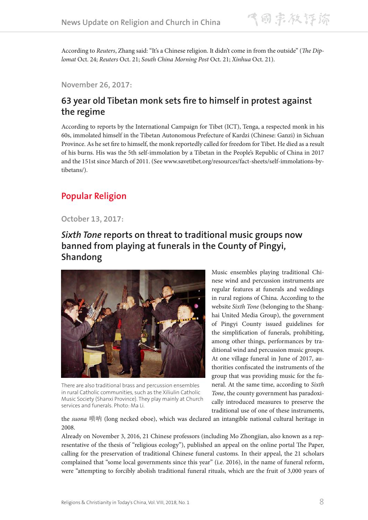According to *Reuters*, Zhang said: "It's a Chinese religion. It didn't come in from the outside" (*The Diplomat* Oct. 24; *Reuters* Oct. 21; *South China Morning Post* Oct. 21; *Xinhua* Oct. 21).

**November 26, 2017:**

## **63 year old Tibetan monk sets fire to himself in protest against the regime**

According to reports by the International Campaign for Tibet (ICT), Tenga, a respected monk in his 60s, immolated himself in the Tibetan Autonomous Prefecture of Kardzi (Chinese: Ganzi) in Sichuan Province. As he set fire to himself, the monk reportedly called for freedom for Tibet. He died as a result of his burns. His was the 5th self-immolation by a Tibetan in the People's Republic of China in 2017 and the 151st since March of 2011. (See www.savetibet.org/resources/fact-sheets/self-immolations-bytibetans/).

## **Popular Religion**

#### **October 13, 2017:**

## *Sixth Tone* **reports on threat to traditional music groups now banned from playing at funerals in the County of Pingyi, Shandong**



There are also traditional brass and percussion ensembles in rural Catholic communities, such as the Xiliulin Catholic Music Society (Shanxi Province). They play mainly at Church services and funerals. Photo: Ma Li.

Music ensembles playing traditional Chinese wind and percussion instruments are regular features at funerals and weddings in rural regions of China. According to the website *Sixth Tone* (belonging to the Shanghai United Media Group), the government of Pingyi County issued guidelines for the simplification of funerals, prohibiting, among other things, performances by traditional wind and percussion music groups. At one village funeral in June of 2017, authorities confiscated the instruments of the group that was providing music for the funeral. At the same time, according to *Sixth Tone*, the county government has paradoxically introduced measures to preserve the traditional use of one of these instruments,

the *suona* 唢呐 (long necked oboe), which was declared an intangible national cultural heritage in 2008.

Already on November 3, 2016, 21 Chinese professors (including Mo Zhongjian, also known as a representative of the thesis of "religious ecology"), published an appeal on the online portal The Paper, calling for the preservation of traditional Chinese funeral customs. In their appeal, the 21 scholars complained that "some local governments since this year" (i.e. 2016), in the name of funeral reform, were "attempting to forcibly abolish traditional funeral rituals, which are the fruit of 3,000 years of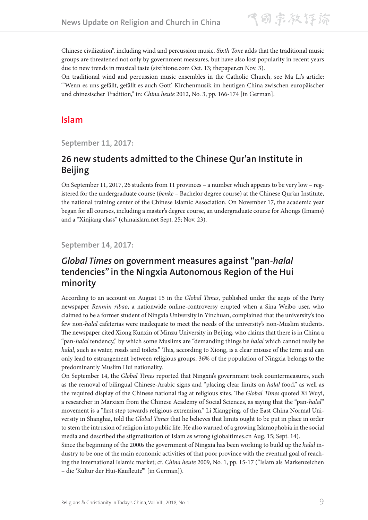Chinese civilization", including wind and percussion music. *Sixth Tone* adds that the traditional music groups are threatened not only by government measures, but have also lost popularity in recent years due to new trends in musical taste (sixthtone.com Oct. 13; thepaper.cn Nov. 3).

On traditional wind and percussion music ensembles in the Catholic Church, see Ma Li's article: "'Wenn es uns gefällt, gefällt es auch Gott'. Kirchenmusik im heutigen China zwischen europäischer und chinesischer Tradition," in: *China heute* 2012, No. 3, pp. 166-174 [in German].

### **Islam**

**September 11, 2017:**

## **26 new students admitted to the Chinese Qur'an Institute in Beijing**

On September 11, 2017, 26 students from 11 provinces – a number which appears to be very low – registered for the undergraduate course (*benke* – Bachelor degree course) at the Chinese Qur'an Institute, the national training center of the Chinese Islamic Association. On November 17, the academic year began for all courses, including a master's degree course, an undergraduate course for Ahongs (Imams) and a "Xinjiang class" (chinaislam.net Sept. 25; Nov. 23).

#### **September 14, 2017:**

## *Global Times* **on government measures against "pan-***halal* **tendencies" in the Ningxia Autonomous Region of the Hui minority**

According to an account on August 15 in the *Global Times*, published under the aegis of the Party newspaper *Renmin ribao*, a nationwide online-controversy erupted when a Sina Weibo user, who claimed to be a former student of Ningxia University in Yinchuan, complained that the university's too few non-*halal* cafeterias were inadequate to meet the needs of the university's non-Muslim students. The newspaper cited Xiong Kunxin of Minzu University in Beijing, who claims that there is in China a "pan-*halal* tendency," by which some Muslims are "demanding things be *halal* which cannot really be *halal*, such as water, roads and toilets." This, according to Xiong, is a clear misuse of the term and can only lead to estrangement between religious groups. 36% of the population of Ningxia belongs to the predominantly Muslim Hui nationality.

On September 14, the *Global Times* reported that Ningxia's government took countermeasures, such as the removal of bilingual Chinese-Arabic signs and "placing clear limits on *halal* food," as well as the required display of the Chinese national flag at religious sites. The *Global Times* quoted Xi Wuyi, a researcher in Marxism from the Chinese Academy of Social Sciences, as saying that the "pan-*halal*" movement is a "first step towards religious extremism." Li Xiangping, of the East China Normal University in Shanghai, told the *Global Times* that he believes that limits ought to be put in place in order to stem the intrusion of religion into public life. He also warned of a growing Islamophobia in the social media and described the stigmatization of Islam as wrong (globaltimes.cn Aug. 15; Sept. 14).

Since the beginning of the 2000s the government of Ningxia has been working to build up the *halal* industry to be one of the main economic activities of that poor province with the eventual goal of reaching the international Islamic market; cf. *China heute* 2009, No. 1, pp. 15-17 ("Islam als Markenzeichen – die 'Kultur der Hui-Kaufleute'" [in German]).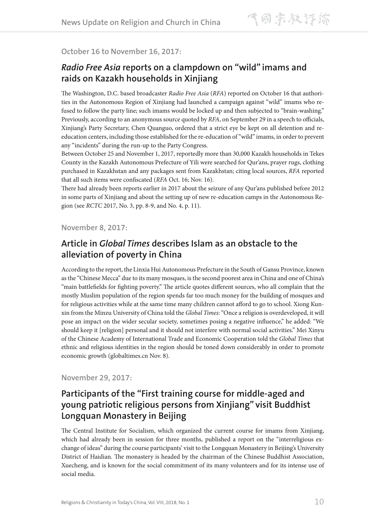#### **October 16 to November 16, 2017:**

## *Radio Free Asia* **reports on a clampdown on "wild" imams and raids on Kazakh households in Xinjiang**

The Washington, D.C. based broadcaster *Radio Free Asia* (*RFA*) reported on October 16 that authorities in the Autonomous Region of Xinjiang had launched a campaign against "wild" imams who refused to follow the party line; such imams would be locked up and then subjected to "brain-washing." Previously, according to an anonymous source quoted by *RFA*, on September 29 in a speech to officials, Xinjiang's Party Secretary, Chen Quanguo, ordered that a strict eye be kept on all detention and reeducation centers, including those established for the re-education of "wild" imams, in order to prevent any "incidents" during the run-up to the Party Congress.

Between October 25 and November 1, 2017, reportedly more than 30,000 Kazakh households in Tekes County in the Kazakh Autonomous Prefecture of Yili were searched for Qur'ans, prayer rugs, clothing purchased in Kazakhstan and any packages sent from Kazakhstan; citing local sources, *RFA* reported that all such items were confiscated (*RFA* Oct. 16; Nov. 16).

There had already been reports earlier in 2017 about the seizure of any Qur'ans published before 2012 in some parts of Xinjiang and about the setting up of new re-education camps in the Autonomous Region (see *RCTC* 2017, No. 3, pp. 8-9, and No. 4, p. 11).

#### **November 8, 2017:**

### **Article in** *Global Times* **describes Islam as an obstacle to the alleviation of poverty in China**

According to the report, the Linxia Hui Autonomous Prefecture in the South of Gansu Province, known as the "Chinese Mecca" due to its many mosques, is the second poorest area in China and one of China's "main battlefields for fighting poverty." The article quotes different sources, who all complain that the mostly Muslim population of the region spends far too much money for the building of mosques and for religious activities while at the same time many children cannot afford to go to school. Xiong Kunxin from the Minzu University of China told the *Global Times*: "Once a religion is overdeveloped, it will pose an impact on the wider secular society, sometimes posing a negative influence," he added: "We should keep it [religion] personal and it should not interfere with normal social activities." Mei Xinyu of the Chinese Academy of International Trade and Economic Cooperation told the *Global Times* that ethnic and religious identities in the region should be toned down considerably in order to promote economic growth (globaltimes.cn Nov. 8).

**November 29, 2017:**

## **Participants of the "First training course for middle-aged and young patriotic religious persons from Xinjiang" visit Buddhist Longquan Monastery in Beijing**

The Central Institute for Socialism, which organized the current course for imams from Xinjiang, which had already been in session for three months, published a report on the "interreligious exchange of ideas" during the course participants' visit to the Longquan Monastery in Beijing's University District of Haidian. The monastery is headed by the chairman of the Chinese Buddhist Association, Xuecheng, and is known for the social commitment of its many volunteers and for its intense use of social media.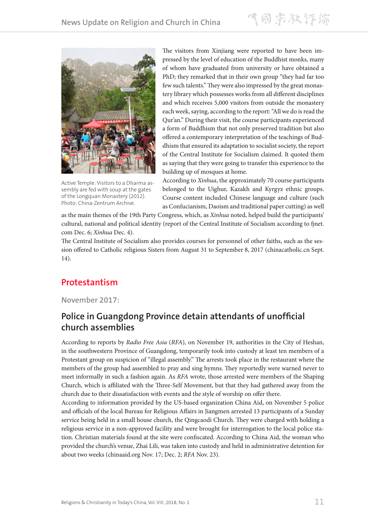

Active Temple: Visitors to a Dharma assembly are fed with soup at the gates of the Longquan Monastery (2012). Photo: China-Zentrum Archive.

The visitors from Xinjiang were reported to have been impressed by the level of education of the Buddhist monks, many of whom have graduated from university or have obtained a PhD; they remarked that in their own group "they had far too few such talents." They were also impressed by the great monastery library which possesses works from all different disciplines and which receives 5,000 visitors from outside the monastery each week, saying, according to the report: "All we do is read the Qur'an." During their visit, the course participants experienced a form of Buddhism that not only preserved tradition but also offered a contemporary interpretation of the teachings of Buddhism that ensured its adaptation to socialist society, the report of the Central Institute for Socialism claimed. It quoted them as saying that they were going to transfer this experience to the building up of mosques at home.

According to *Xinhua*, the approximately 70 course participants belonged to the Uighur, Kazakh and Kyrgyz ethnic groups. Course content included Chinese language and culture (such as Confucianism, Daoism and traditional paper cutting) as well

as the main themes of the 19th Party Congress, which, as *Xinhua* noted, helped build the participants' cultural, national and political identity (report of the Central Institute of Socialism according to fjnet. com Dec. 6; *Xinhua* Dec. 4).

The Central Institute of Socialism also provides courses for personnel of other faiths, such as the session offered to Catholic religious Sisters from August 31 to September 8, 2017 (chinacatholic.cn Sept. 14).

## **Protestantism**

**November 2017:**

### **Police in Guangdong Province detain attendants of unofficial church assemblies**

According to reports by *Radio Free Asia* (*RFA*), on November 19, authorities in the City of Heshan, in the southwestern Province of Guangdong, temporarily took into custody at least ten members of a Protestant group on suspicion of "illegal assembly." The arrests took place in the restaurant where the members of the group had assembled to pray and sing hymns. They reportedly were warned never to meet informally in such a fashion again. As *RFA* wrote, those arrested were members of the Shaping Church, which is affiliated with the Three-Self Movement, but that they had gathered away from the church due to their dissatisfaction with events and the style of worship on offer there.

According to information provided by the US-based organization China Aid, on November 5 police and officials of the local Bureau for Religious Affairs in Jiangmen arrested 13 participants of a Sunday service being held in a small house church, the Qingcaodi Church. They were charged with holding a religious service in a non-approved facility and were brought for interrogation to the local police station. Christian materials found at the site were confiscated. According to China Aid, the woman who provided the church's venue, Zhai Lili, was taken into custody and held in administrative detention for about two weeks (chinaaid.org Nov. 17; Dec. 2; *RFA* Nov. 23).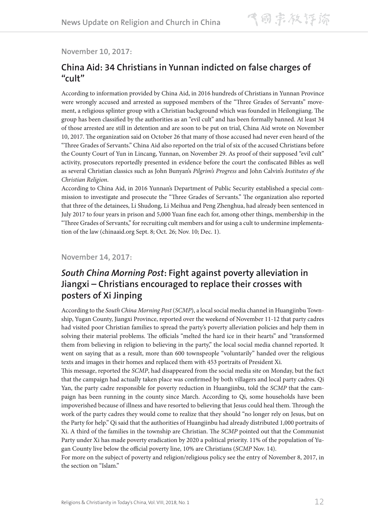#### **November 10, 2017:**

### **China Aid: 34 Christians in Yunnan indicted on false charges of "cult"**

According to information provided by China Aid, in 2016 hundreds of Christians in Yunnan Province were wrongly accused and arrested as supposed members of the "Three Grades of Servants" movement, a religious splinter group with a Christian background which was founded in Heilongjiang. The group has been classified by the authorities as an "evil cult" and has been formally banned. At least 34 of those arrested are still in detention and are soon to be put on trial, China Aid wrote on November 10, 2017. The organization said on October 26 that many of those accused had never even heard of the "Three Grades of Servants." China Aid also reported on the trial of six of the accused Christians before the County Court of Yun in Lincang, Yunnan, on November 29. As proof of their supposed "evil cult" activity, prosecutors reportedly presented in evidence before the court the confiscated Bibles as well as several Christian classics such as John Bunyan's *Pilgrim's Progress* and John Calvin's *Institutes of the Christian Religion*.

According to China Aid, in 2016 Yunnan's Department of Public Security established a special commission to investigate and prosecute the "Three Grades of Servants." The organization also reported that three of the detainees, Li Shudong, Li Meihua and Peng Zhenghua, had already been sentenced in July 2017 to four years in prison and 5,000 Yuan fine each for, among other things, membership in the "Three Grades of Servants," for recruiting cult members and for using a cult to undermine implementation of the law (chinaaid.org Sept. 8; Oct. 26; Nov. 10; Dec. 1).

#### **November 14, 2017:**

## *South China Morning Post***: Fight against poverty alleviation in Jiangxi – Christians encouraged to replace their crosses with posters of Xi Jinping**

According to the *South China Morning Post* (*SCMP*), a local social media channel in Huangjinbu Township, Yugan County, Jiangxi Province, reported over the weekend of November 11-12 that party cadres had visited poor Christian families to spread the party's poverty alleviation policies and help them in solving their material problems. The officials "melted the hard ice in their hearts" and "transformed them from believing in religion to believing in the party," the local social media channel reported. It went on saying that as a result, more than 600 townspeople "voluntarily" handed over the religious texts and images in their homes and replaced them with 453 portraits of President Xi.

This message, reported the *SCMP*, had disappeared from the social media site on Monday, but the fact that the campaign had actually taken place was confirmed by both villagers and local party cadres. Qi Yan, the party cadre responsible for poverty reduction in Huangjinbu, told the *SCMP* that the campaign has been running in the county since March. According to Qi, some households have been impoverished because of illness and have resorted to believing that Jesus could heal them. Through the work of the party cadres they would come to realize that they should "no longer rely on Jesus, but on the Party for help." Qi said that the authorities of Huangjinbu had already distributed 1,000 portraits of Xi. A third of the families in the township are Christian. The *SCMP* pointed out that the Communist Party under Xi has made poverty eradication by 2020 a political priority. 11% of the population of Yugan County live below the official poverty line, 10% are Christians (*SCMP* Nov. 14).

For more on the subject of poverty and religion/religious policy see the entry of November 8, 2017, in the section on "Islam."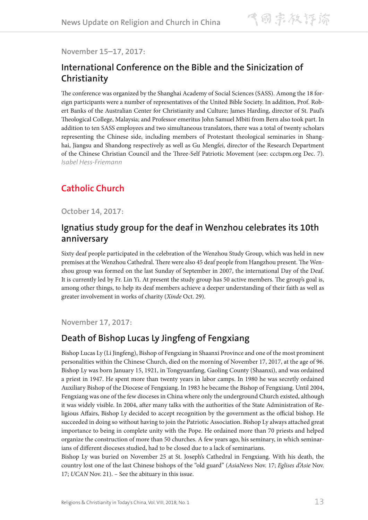**November 15–17, 2017:**

### **International Conference on the Bible and the Sinicization of Christianity**

The conference was organized by the Shanghai Academy of Social Sciences (SASS). Among the 18 foreign participants were a number of representatives of the United Bible Society. In addition, Prof. Robert Banks of the Australian Center for Christianity and Culture; James Harding, director of St. Paul's Theological College, Malaysia; and Professor emeritus John Samuel Mbiti from Bern also took part. In addition to ten SASS employees and two simultaneous translators, there was a total of twenty scholars representing the Chinese side, including members of Protestant theological seminaries in Shanghai, Jiangsu and Shandong respectively as well as Gu Mengfei, director of the Research Department of the Chinese Christian Council and the Three-Self Patriotic Movement (see: ccctspm.org Dec. 7). *Isabel Hess-Friemann*

## **Catholic Church**

**October 14, 2017:**

### **Ignatius study group for the deaf in Wenzhou celebrates its 10th anniversary**

Sixty deaf people participated in the celebration of the Wenzhou Study Group, which was held in new premises at the Wenzhou Cathedral. There were also 45 deaf people from Hangzhou present. The Wenzhou group was formed on the last Sunday of September in 2007, the international Day of the Deaf. It is currently led by Fr. Lin Yi. At present the study group has 50 active members. The group's goal is, among other things, to help its deaf members achieve a deeper understanding of their faith as well as greater involvement in works of charity (*Xinde* Oct. 29).

**November 17, 2017:**

### **Death of Bishop Lucas Ly Jingfeng of Fengxiang**

Bishop Lucas Ly (Li Jingfeng), Bishop of Fengxiang in Shaanxi Province and one of the most prominent personalities within the Chinese Church, died on the morning of November 17, 2017, at the age of 96. Bishop Ly was born January 15, 1921, in Tongyuanfang, Gaoling County (Shaanxi), and was ordained a priest in 1947. He spent more than twenty years in labor camps. In 1980 he was secretly ordained Auxiliary Bishop of the Diocese of Fengxiang. In 1983 he became the Bishop of Fengxiang. Until 2004, Fengxiang was one of the few dioceses in China where only the underground Church existed, although it was widely visible. In 2004, after many talks with the authorities of the State Administration of Religious Affairs, Bishop Ly decided to accept recognition by the government as the official bishop. He succeeded in doing so without having to join the Patriotic Association. Bishop Ly always attached great importance to being in complete unity with the Pope. He ordained more than 70 priests and helped organize the construction of more than 50 churches. A few years ago, his seminary, in which seminarians of different dioceses studied, had to be closed due to a lack of seminarians.

Bishop Ly was buried on November 25 at St. Joseph's Cathedral in Fengxiang. With his death, the country lost one of the last Chinese bishops of the "old guard" (*AsiaNews* Nov. 17; *Eglises d'Asie* Nov. 17; *UCAN* Nov. 21). – See the abituary in this issue.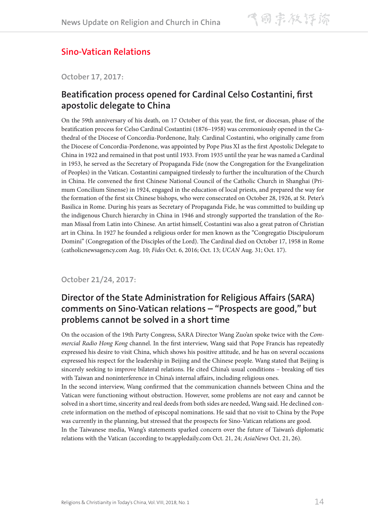## **Sino-Vatican Relations**

**October 17, 2017:**

### **Beatification process opened for Cardinal Celso Costantini, first apostolic delegate to China**

On the 59th anniversary of his death, on 17 October of this year, the first, or diocesan, phase of the beatification process for Celso Cardinal Costantini (1876–1958) was ceremoniously opened in the Cathedral of the Diocese of Concordia-Pordenone, Italy. Cardinal Costantini, who originally came from the Diocese of Concordia-Pordenone, was appointed by Pope Pius XI as the first Apostolic Delegate to China in 1922 and remained in that post until 1933. From 1935 until the year he was named a Cardinal in 1953, he served as the Secretary of Propaganda Fide (now the Congregation for the Evangelization of Peoples) in the Vatican. Costantini campaigned tirelessly to further the inculturation of the Church in China. He convened the first Chinese National Council of the Catholic Church in Shanghai (Primum Concilium Sinense) in 1924, engaged in the education of local priests, and prepared the way for the formation of the first six Chinese bishops, who were consecrated on October 28, 1926, at St. Peter's Basilica in Rome. During his years as Secretary of Propaganda Fide, he was committed to building up the indigenous Church hierarchy in China in 1946 and strongly supported the translation of the Roman Missal from Latin into Chinese. An artist himself, Costantini was also a great patron of Christian art in China. In 1927 he founded a religious order for men known as the "Congregatio Discipulorum Domini" (Congregation of the Disciples of the Lord). The Cardinal died on October 17, 1958 in Rome (catholicnewsagency.com Aug. 10; *Fides* Oct. 6, 2016; Oct. 13; *UCAN* Aug. 31; Oct. 17).

#### **October 21/24, 2017:**

## **Director of the State Administration for Religious Affairs (SARA) comments on Sino-Vatican relations – "Prospects are good," but problems cannot be solved in a short time**

On the occasion of the 19th Party Congress, SARA Director Wang Zuo'an spoke twice with the *Commercial Radio Hong Kong* channel. In the first interview, Wang said that Pope Francis has repeatedly expressed his desire to visit China, which shows his positive attitude, and he has on several occasions expressed his respect for the leadership in Beijing and the Chinese people. Wang stated that Beijing is sincerely seeking to improve bilateral relations. He cited China's usual conditions – breaking off ties with Taiwan and noninterference in China's internal affairs, including religious ones.

In the second interview, Wang confirmed that the communication channels between China and the Vatican were functioning without obstruction. However, some problems are not easy and cannot be solved in a short time, sincerity and real deeds from both sides are needed, Wang said. He declined concrete information on the method of episcopal nominations. He said that no visit to China by the Pope was currently in the planning, but stressed that the prospects for Sino-Vatican relations are good.

In the Taiwanese media, Wang's statements sparked concern over the future of Taiwan's diplomatic relations with the Vatican (according to tw.appledaily.com Oct. 21, 24; *AsiaNews* Oct. 21, 26).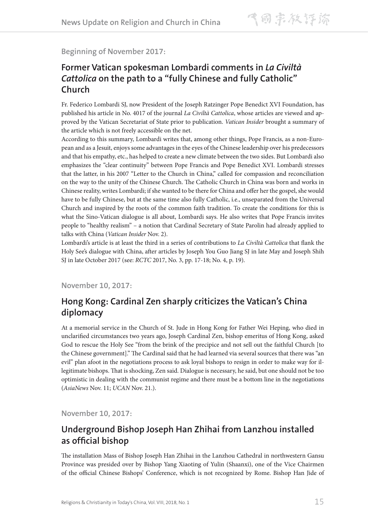#### **Beginning of November 2017:**

## **Former Vatican spokesman Lombardi comments in** *La Civiltà Cattolica* **on the path to a "fully Chinese and fully Catholic" Church**

Fr. Federico Lombardi SJ, now President of the Joseph Ratzinger Pope Benedict XVI Foundation, has published his article in No. 4017 of the journal *La Civiltà Cattolica*, whose articles are viewed and approved by the Vatican Secretariat of State prior to publication. *Vatican Insider* brought a summary of the article which is not freely accessible on the net.

According to this summary, Lombardi writes that, among other things, Pope Francis, as a non-European and as a Jesuit, enjoys some advantages in the eyes of the Chinese leadership over his predecessors and that his empathy, etc., has helped to create a new climate between the two sides. But Lombardi also emphasizes the "clear continuity" between Pope Francis and Pope Benedict XVI. Lombardi stresses that the latter, in his 2007 "Letter to the Church in China," called for compassion and reconciliation on the way to the unity of the Chinese Church. The Catholic Church in China was born and works in Chinese reality, writes Lombardi; if she wanted to be there for China and offer her the gospel, she would have to be fully Chinese, but at the same time also fully Catholic, i.e., unseparated from the Universal Church and inspired by the roots of the common faith tradition. To create the conditions for this is what the Sino-Vatican dialogue is all about, Lombardi says. He also writes that Pope Francis invites people to "healthy realism" – a notion that Cardinal Secretary of State Parolin had already applied to talks with China (*Vatican Insider* Nov. 2).

Lombardi's article is at least the third in a series of contributions to *La Civiltà Cattolica* that flank the Holy See's dialogue with China, after articles by Joseph You Guo Jiang SJ in late May and Joseph Shih SJ in late October 2017 (see: *RCTC* 2017, No. 3, pp. 17-18; No. 4, p. 19).

**November 10, 2017:**

## **Hong Kong: Cardinal Zen sharply criticizes the Vatican's China diplomacy**

At a memorial service in the Church of St. Jude in Hong Kong for Father Wei Heping, who died in unclarified circumstances two years ago, Joseph Cardinal Zen, bishop emeritus of Hong Kong, asked God to rescue the Holy See "from the brink of the precipice and not sell out the faithful Church [to the Chinese government]." The Cardinal said that he had learned via several sources that there was "an evil" plan afoot in the negotiations process to ask loyal bishops to resign in order to make way for illegitimate bishops. That is shocking, Zen said. Dialogue is necessary, he said, but one should not be too optimistic in dealing with the communist regime and there must be a bottom line in the negotiations (*AsiaNews* Nov. 11; *UCAN* Nov. 21.).

**November 10, 2017:** 

## **Underground Bishop Joseph Han Zhihai from Lanzhou installed as official bishop**

The installation Mass of Bishop Joseph Han Zhihai in the Lanzhou Cathedral in northwestern Gansu Province was presided over by Bishop Yang Xiaoting of Yulin (Shaanxi), one of the Vice Chairmen of the official Chinese Bishops' Conference, which is not recognized by Rome. Bishop Han Jide of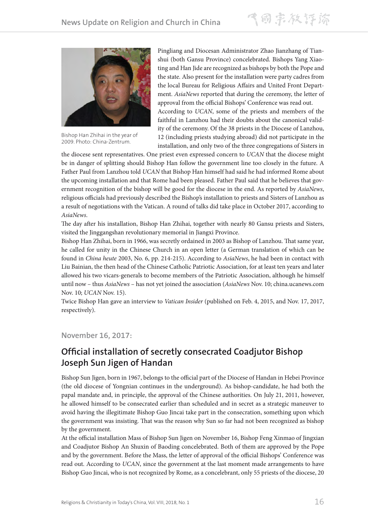飞雨宗教评谛



Bishop Han Zhihai in the year of 2009. Photo: China-Zentrum.

Pingliang and Diocesan Administrator Zhao Jianzhang of Tianshui (both Gansu Province) concelebrated. Bishops Yang Xiaoting and Han Jide are recognized as bishops by both the Pope and the state. Also present for the installation were party cadres from the local Bureau for Religious Affairs and United Front Department. *AsiaNews* reported that during the ceremony, the letter of approval from the official Bishops' Conference was read out. According to *UCAN*, some of the priests and members of the faithful in Lanzhou had their doubts about the canonical validity of the ceremony. Of the 38 priests in the Diocese of Lanzhou, 12 (including priests studying abroad) did not participate in the installation, and only two of the three congregations of Sisters in

the diocese sent representatives. One priest even expressed concern to *UCAN* that the diocese might be in danger of splitting should Bishop Han follow the government line too closely in the future. A Father Paul from Lanzhou told *UCAN* that Bishop Han himself had said he had informed Rome about the upcoming installation and that Rome had been pleased. Father Paul said that he believes that government recognition of the bishop will be good for the diocese in the end. As reported by *AsiaNews*, religious officials had previously described the Bishop's installation to priests and Sisters of Lanzhou as a result of negotiations with the Vatican. A round of talks did take place in October 2017, according to *AsiaNews*.

The day after his installation, Bishop Han Zhihai, together with nearly 80 Gansu priests and Sisters, visited the Jinggangshan revolutionary memorial in Jiangxi Province.

Bishop Han Zhihai, born in 1966, was secretly ordained in 2003 as Bishop of Lanzhou. That same year, he called for unity in the Chinese Church in an open letter (a German translation of which can be found in *China heute* 2003, No. 6, pp. 214-215). According to *AsiaNews*, he had been in contact with Liu Bainian, the then head of the Chinese Catholic Patriotic Association, for at least ten years and later allowed his two vicars-generals to become members of the Patriotic Association, although he himself until now – thus *AsiaNews* – has not yet joined the association (*AsiaNews* Nov. 10; china.ucanews.com Nov. 10; *UCAN* Nov. 15).

Twice Bishop Han gave an interview to *Vatican Insider* (published on Feb. 4, 2015, and Nov. 17, 2017, respectively).

#### **November 16, 2017:**

### **Official installation of secretly consecrated Coadjutor Bishop Joseph Sun Jigen of Handan**

Bishop Sun Jigen, born in 1967, belongs to the official part of the Diocese of Handan in Hebei Province (the old diocese of Yongnian continues in the underground). As bishop-candidate, he had both the papal mandate and, in principle, the approval of the Chinese authorities. On July 21, 2011, however, he allowed himself to be consecrated earlier than scheduled and in secret as a strategic maneuver to avoid having the illegitimate Bishop Guo Jincai take part in the consecration, something upon which the government was insisting. That was the reason why Sun so far had not been recognized as bishop by the government.

At the official installation Mass of Bishop Sun Jigen on November 16, Bishop Feng Xinmao of Jingxian and Coadjutor Bishop An Shuxin of Baoding concelebrated. Both of them are approved by the Pope and by the government. Before the Mass, the letter of approval of the official Bishops' Conference was read out. According to *UCAN*, since the government at the last moment made arrangements to have Bishop Guo Jincai, who is not recognized by Rome, as a concelebrant, only 55 priests of the diocese, 20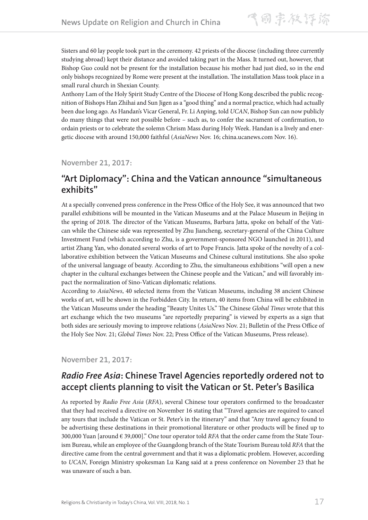Sisters and 60 lay people took part in the ceremony. 42 priests of the diocese (including three currently studying abroad) kept their distance and avoided taking part in the Mass. It turned out, however, that Bishop Guo could not be present for the installation because his mother had just died, so in the end only bishops recognized by Rome were present at the installation. The installation Mass took place in a small rural church in Shexian County.

Anthony Lam of the Holy Spirit Study Centre of the Diocese of Hong Kong described the public recognition of Bishops Han Zhihai and Sun Jigen as a "good thing" and a normal practice, which had actually been due long ago. As Handan's Vicar General, Fr. Li Anping, told *UCAN*, Bishop Sun can now publicly do many things that were not possible before – such as, to confer the sacrament of confirmation, to ordain priests or to celebrate the solemn Chrism Mass during Holy Week. Handan is a lively and energetic diocese with around 150,000 faithful (*AsiaNews* Nov. 16; china.ucanews.com Nov. 16).

#### **November 21, 2017:**

### **"Art Diplomacy": China and the Vatican announce "simultaneous exhibits"**

At a specially convened press conference in the Press Office of the Holy See, it was announced that two parallel exhibitions will be mounted in the Vatican Museums and at the Palace Museum in Beijing in the spring of 2018. The director of the Vatican Museums, Barbara Jatta, spoke on behalf of the Vatican while the Chinese side was represented by Zhu Jiancheng, secretary-general of the China Culture Investment Fund (which according to Zhu, is a government-sponsored NGO launched in 2011), and artist Zhang Yan, who donated several works of art to Pope Francis. Jatta spoke of the novelty of a collaborative exhibition between the Vatican Museums and Chinese cultural institutions. She also spoke of the universal language of beauty. According to Zhu, the simultaneous exhibitions "will open a new chapter in the cultural exchanges between the Chinese people and the Vatican," and will favorably impact the normalization of Sino-Vatican diplomatic relations.

According to *AsiaNews*, 40 selected items from the Vatican Museums, including 38 ancient Chinese works of art, will be shown in the Forbidden City. In return, 40 items from China will be exhibited in the Vatican Museums under the heading "Beauty Unites Us." The Chinese *Global Times* wrote that this art exchange which the two museums "are reportedly preparing" is viewed by experts as a sign that both sides are seriously moving to improve relations (*AsiaNews* Nov. 21; Bulletin of the Press Office of the Holy See Nov. 21; *Global Times* Nov. 22; Press Office of the Vatican Museums, Press release).

#### **November 21, 2017:**

## *Radio Free Asia***: Chinese Travel Agencies reportedly ordered not to accept clients planning to visit the Vatican or St. Peter's Basilica**

As reported by *Radio Free Asia* (*RFA*), several Chinese tour operators confirmed to the broadcaster that they had received a directive on November 16 stating that "Travel agencies are required to cancel any tours that include the Vatican or St. Peter's in the itinerary" and that "Any travel agency found to be advertising these destinations in their promotional literature or other products will be fined up to 300,000 Yuan [around € 39,000]." One tour operator told *RFA* that the order came from the State Tourism Bureau, while an employee of the Guangdong branch of the State Tourism Bureau told *RFA* that the directive came from the central government and that it was a diplomatic problem. However, according to *UCAN*, Foreign Ministry spokesman Lu Kang said at a press conference on November 23 that he was unaware of such a ban.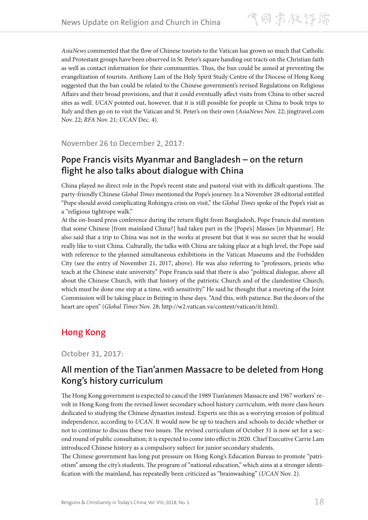*AsiaNews* commented that the flow of Chinese tourists to the Vatican has grown so much that Catholic and Protestant groups have been observed in St. Peter's square handing out tracts on the Christian faith as well as contact information for their communities. Thus, the ban could be aimed at preventing the evangelization of tourists. Anthony Lam of the Holy Spirit Study Centre of the Diocese of Hong Kong suggested that the ban could be related to the Chinese government's revised Regulations on Religious Affairs and their broad provisions, and that it could eventually affect visits from China to other sacred sites as well. *UCAN* pointed out, however, that it is still possible for people in China to book trips to Italy and then go on to visit the Vatican and St. Peter's on their own (*AsiaNews* Nov. 22; jingtravel.com Nov. 22; *RFA* Nov. 21; *UCAN* Dec. 4).

**November 26 to December 2, 2017:**

## **Pope Francis visits Myanmar and Bangladesh – on the return flight he also talks about dialogue with China**

China played no direct role in the Pope's recent state and pastoral visit with its difficult questions. The party-friendly Chinese *Global Times* mentioned the Pope's journey. In a November 28 editorial entitled "Pope should avoid complicating Rohingya crisis on visit," the *Global Times* spoke of the Pope's visit as a "religious tightrope walk."

At the on-board press conference during the return flight from Bangladesh, Pope Francis did mention that some Chinese [from mainland China?] had taken part in the [Pope's] Masses [in Myanmar]. He also said that a trip to China was not in the works at present but that it was no secret that he would really like to visit China. Culturally, the talks with China are taking place at a high level, the Pope said with reference to the planned simultaneous exhibitions in the Vatican Museums and the Forbidden City (see the entry of November 21, 2017, above). He was also referring to "professors, priests who teach at the Chinese state university." Pope Francis said that there is also "political dialogue, above all about the Chinese Church, with that history of the patriotic Church and of the clandestine Church, which must be done one step at a time, with sensitivity." He said he thought that a meeting of the Joint Commission will be taking place in Beijing in these days. "And this, with patience. But the doors of the heart are open" (*Global Times* Nov. 28; http://w2.vatican.va/content/vatican/it.html).

## **Hong Kong**

**October 31, 2017:**

## **All mention of the Tian'anmen Massacre to be deleted from Hong Kong's history curriculum**

The Hong Kong government is expected to cancel the 1989 Tian'anmen Massacre and 1967 workers' revolt in Hong Kong from the revised lower secondary school history curriculum, with more class hours dedicated to studying the Chinese dynasties instead. Experts see this as a worrying erosion of political independence, according to *UCAN*. It would now be up to teachers and schools to decide whether or not to continue to discuss these two issues. The revised curriculum of October 31 is now set for a second round of public consultation; it is expected to come into effect in 2020. Chief Executive Carrie Lam introduced Chinese history as a compulsory subject for junior secondary students.

The Chinese government has long put pressure on Hong Kong's Education Bureau to promote "patriotism" among the city's students. The program of "national education," which aims at a stronger identification with the mainland, has repeatedly been criticized as "brainwashing" (*UCAN* Nov. 2).